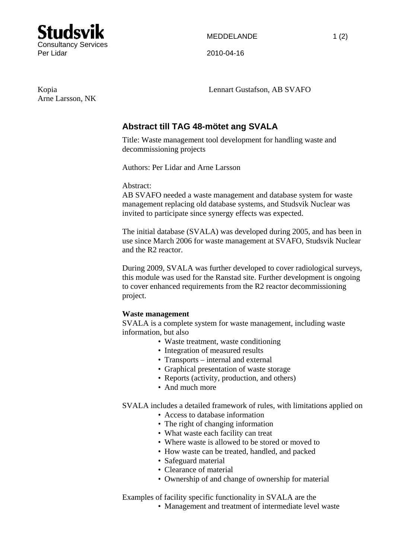

Arne Larsson, NK

Kopia Lennart Gustafson, AB SVAFO

## **Abstract till TAG 48-mötet ang SVALA**

Title: Waste management tool development for handling waste and decommissioning projects

Authors: Per Lidar and Arne Larsson

Abstract:

AB SVAFO needed a waste management and database system for waste management replacing old database systems, and Studsvik Nuclear was invited to participate since synergy effects was expected.

The initial database (SVALA) was developed during 2005, and has been in use since March 2006 for waste management at SVAFO, Studsvik Nuclear and the R2 reactor.

During 2009, SVALA was further developed to cover radiological surveys, this module was used for the Ranstad site. Further development is ongoing to cover enhanced requirements from the R2 reactor decommissioning project.

## **Waste management**

SVALA is a complete system for waste management, including waste information, but also

- Waste treatment, waste conditioning
- Integration of measured results
- Transports internal and external
- Graphical presentation of waste storage
- Reports (activity, production, and others)
- And much more

SVALA includes a detailed framework of rules, with limitations applied on

- Access to database information
- The right of changing information
- What waste each facility can treat
- Where waste is allowed to be stored or moved to
- How waste can be treated, handled, and packed
- Safeguard material
- Clearance of material
- Ownership of and change of ownership for material

Examples of facility specific functionality in SVALA are the

• Management and treatment of intermediate level waste